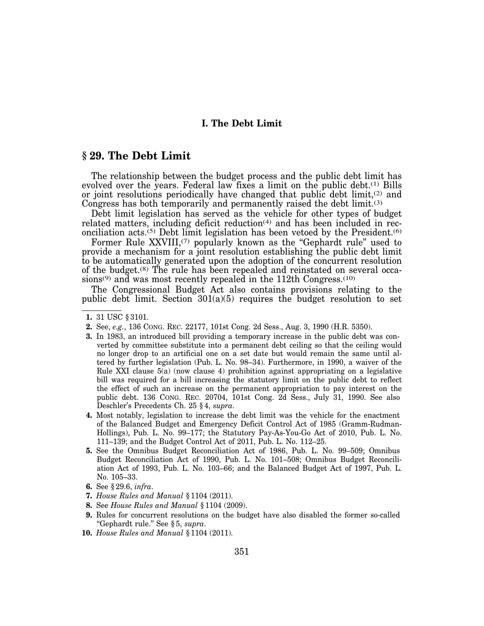## **I. The Debt Limit**

# **§ 29. The Debt Limit**

The relationship between the budget process and the public debt limit has evolved over the years. Federal law fixes a limit on the public debt.(1) Bills or joint resolutions periodically have changed that public debt  $\text{limit},$ <sup>(2)</sup> and Congress has both temporarily and permanently raised the debt limit.(3)

Debt limit legislation has served as the vehicle for other types of budget related matters, including deficit reduction<sup> $(4)$ </sup> and has been included in reconciliation acts.(5) Debt limit legislation has been vetoed by the President.(6)

Former Rule XXVIII,<sup>(7)</sup> popularly known as the "Gephardt rule" used to provide a mechanism for a joint resolution establishing the public debt limit to be automatically generated upon the adoption of the concurrent resolution of the budget.(8) The rule has been repealed and reinstated on several occasions<sup>(9)</sup> and was most recently repealed in the 112th Congress.<sup>(10)</sup>

The Congressional Budget Act also contains provisions relating to the public debt limit. Section  $301(a)(5)$  requires the budget resolution to set

- **2.** See, *e.g.*, 136 CONG. REC. 22177, 101st Cong. 2d Sess., Aug. 3, 1990 (H.R. 5350).
- **3.** In 1983, an introduced bill providing a temporary increase in the public debt was converted by committee substitute into a permanent debt ceiling so that the ceiling would no longer drop to an artificial one on a set date but would remain the same until altered by further legislation (Pub. L. No. 98–34). Furthermore, in 1990, a waiver of the Rule XXI clause 5(a) (now clause 4) prohibition against appropriating on a legislative bill was required for a bill increasing the statutory limit on the public debt to reflect the effect of such an increase on the permanent appropriation to pay interest on the public debt. 136 CONG. REC. 20704, 101st Cong. 2d Sess., July 31, 1990. See also Deschler's Precedents Ch. 25 § 4, *supra*.
- **4.** Most notably, legislation to increase the debt limit was the vehicle for the enactment of the Balanced Budget and Emergency Deficit Control Act of 1985 (Gramm-Rudman-Hollings), Pub. L. No. 99–177; the Statutory Pay-As-You-Go Act of 2010, Pub. L. No. 111–139; and the Budget Control Act of 2011, Pub. L. No. 112–25.
- **5.** See the Omnibus Budget Reconciliation Act of 1986, Pub. L. No. 99–509; Omnibus Budget Reconciliation Act of 1990, Pub. L. No. 101–508; Omnibus Budget Reconciliation Act of 1993, Pub. L. No. 103–66; and the Balanced Budget Act of 1997, Pub. L. No. 105–33.
- **6.** See § 29.6, *infra*.
- **7.** *House Rules and Manual* § 1104 (2011).
- **8.** See *House Rules and Manual* § 1104 (2009).
- **9.** Rules for concurrent resolutions on the budget have also disabled the former so-called ''Gephardt rule.'' See § 5, *supra*.
- **10.** *House Rules and Manual* § 1104 (2011).

**<sup>1.</sup>** 31 USC § 3101.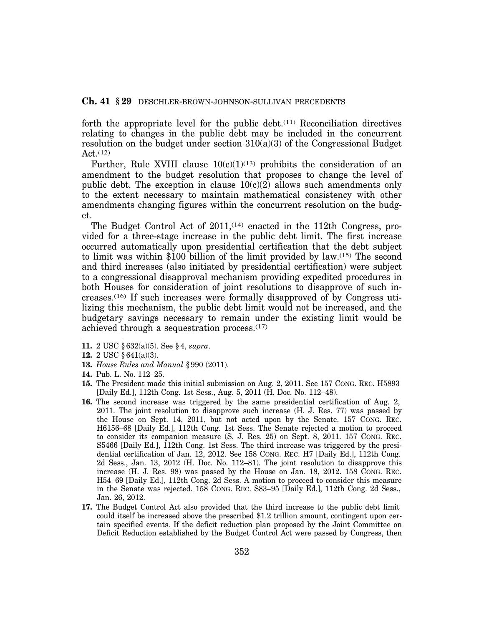forth the appropriate level for the public debt.(11) Reconciliation directives relating to changes in the public debt may be included in the concurrent resolution on the budget under section  $310(a)(3)$  of the Congressional Budget  $Act.$ (12)

Further, Rule XVIII clause  $10(c)(1)^{(13)}$  prohibits the consideration of an amendment to the budget resolution that proposes to change the level of public debt. The exception in clause  $10(c)(2)$  allows such amendments only to the extent necessary to maintain mathematical consistency with other amendments changing figures within the concurrent resolution on the budget.

The Budget Control Act of 2011,<sup>(14)</sup> enacted in the 112th Congress, provided for a three-stage increase in the public debt limit. The first increase occurred automatically upon presidential certification that the debt subject to limit was within \$100 billion of the limit provided by law.(15) The second and third increases (also initiated by presidential certification) were subject to a congressional disapproval mechanism providing expedited procedures in both Houses for consideration of joint resolutions to disapprove of such increases.(16) If such increases were formally disapproved of by Congress utilizing this mechanism, the public debt limit would not be increased, and the budgetary savings necessary to remain under the existing limit would be achieved through a sequestration process. $(17)$ 

- **12.** 2 USC § 641(a)(3).
- **13.** *House Rules and Manual* § 990 (2011).
- **14.** Pub. L. No. 112–25.
- **15.** The President made this initial submission on Aug. 2, 2011. See 157 CONG. REC. H5893 [Daily Ed.], 112th Cong. 1st Sess., Aug. 5, 2011 (H. Doc. No. 112–48).
- **16.** The second increase was triggered by the same presidential certification of Aug. 2, 2011. The joint resolution to disapprove such increase (H. J. Res. 77) was passed by the House on Sept. 14, 2011, but not acted upon by the Senate. 157 CONG. REC. H6156–68 [Daily Ed.], 112th Cong. 1st Sess. The Senate rejected a motion to proceed to consider its companion measure (S. J. Res. 25) on Sept. 8, 2011. 157 CONG. REC. S5466 [Daily Ed.], 112th Cong. 1st Sess. The third increase was triggered by the presidential certification of Jan. 12, 2012. See 158 CONG. REC. H7 [Daily Ed.], 112th Cong. 2d Sess., Jan. 13, 2012 (H. Doc. No. 112–81). The joint resolution to disapprove this increase (H. J. Res. 98) was passed by the House on Jan. 18, 2012. 158 CONG. REC. H54–69 [Daily Ed.], 112th Cong. 2d Sess. A motion to proceed to consider this measure in the Senate was rejected. 158 CONG. REC. S83–95 [Daily Ed.], 112th Cong. 2d Sess., Jan. 26, 2012.
- **17.** The Budget Control Act also provided that the third increase to the public debt limit could itself be increased above the prescribed \$1.2 trillion amount, contingent upon certain specified events. If the deficit reduction plan proposed by the Joint Committee on Deficit Reduction established by the Budget Control Act were passed by Congress, then

**<sup>11.</sup>** 2 USC § 632(a)(5). See § 4, *supra*.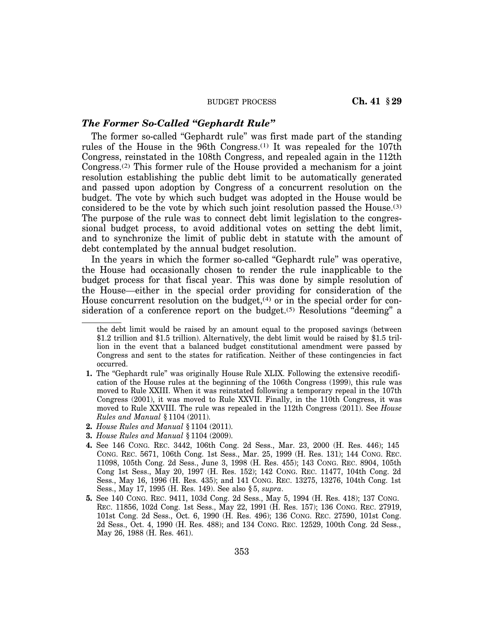## *The Former So-Called ''Gephardt Rule''*

The former so-called ''Gephardt rule'' was first made part of the standing rules of the House in the 96th Congress.(1) It was repealed for the 107th Congress, reinstated in the 108th Congress, and repealed again in the 112th Congress.(2) This former rule of the House provided a mechanism for a joint resolution establishing the public debt limit to be automatically generated and passed upon adoption by Congress of a concurrent resolution on the budget. The vote by which such budget was adopted in the House would be considered to be the vote by which such joint resolution passed the House.(3) The purpose of the rule was to connect debt limit legislation to the congressional budget process, to avoid additional votes on setting the debt limit, and to synchronize the limit of public debt in statute with the amount of debt contemplated by the annual budget resolution.

In the years in which the former so-called "Gephardt rule" was operative, the House had occasionally chosen to render the rule inapplicable to the budget process for that fiscal year. This was done by simple resolution of the House—either in the special order providing for consideration of the House concurrent resolution on the budget, $(4)$  or in the special order for consideration of a conference report on the budget.<sup> $(5)$ </sup> Resolutions "deeming" a

- **1.** The "Gephardt rule" was originally House Rule XLIX. Following the extensive recodification of the House rules at the beginning of the 106th Congress (1999), this rule was moved to Rule XXIII. When it was reinstated following a temporary repeal in the 107th Congress (2001), it was moved to Rule XXVII. Finally, in the 110th Congress, it was moved to Rule XXVIII. The rule was repealed in the 112th Congress (2011). See *House Rules and Manual* § 1104 (2011).
- **2.** *House Rules and Manual* § 1104 (2011).
- **3.** *House Rules and Manual* § 1104 (2009).
- **4.** See 146 CONG. REC. 3442, 106th Cong. 2d Sess., Mar. 23, 2000 (H. Res. 446); 145 CONG. REC. 5671, 106th Cong. 1st Sess., Mar. 25, 1999 (H. Res. 131); 144 CONG. REC. 11098, 105th Cong. 2d Sess., June 3, 1998 (H. Res. 455); 143 CONG. REC. 8904, 105th Cong 1st Sess., May 20, 1997 (H. Res. 152); 142 CONG. REC. 11477, 104th Cong. 2d Sess., May 16, 1996 (H. Res. 435); and 141 CONG. REC. 13275, 13276, 104th Cong. 1st Sess., May 17, 1995 (H. Res. 149). See also § 5, *supra*.
- **5.** See 140 CONG. REC. 9411, 103d Cong. 2d Sess., May 5, 1994 (H. Res. 418); 137 CONG. REC. 11856, 102d Cong. 1st Sess., May 22, 1991 (H. Res. 157); 136 CONG. REC. 27919, 101st Cong. 2d Sess., Oct. 6, 1990 (H. Res. 496); 136 CONG. REC. 27590, 101st Cong. 2d Sess., Oct. 4, 1990 (H. Res. 488); and 134 CONG. REC. 12529, 100th Cong. 2d Sess., May 26, 1988 (H. Res. 461).

the debt limit would be raised by an amount equal to the proposed savings (between \$1.2 trillion and \$1.5 trillion). Alternatively, the debt limit would be raised by \$1.5 trillion in the event that a balanced budget constitutional amendment were passed by Congress and sent to the states for ratification. Neither of these contingencies in fact occurred.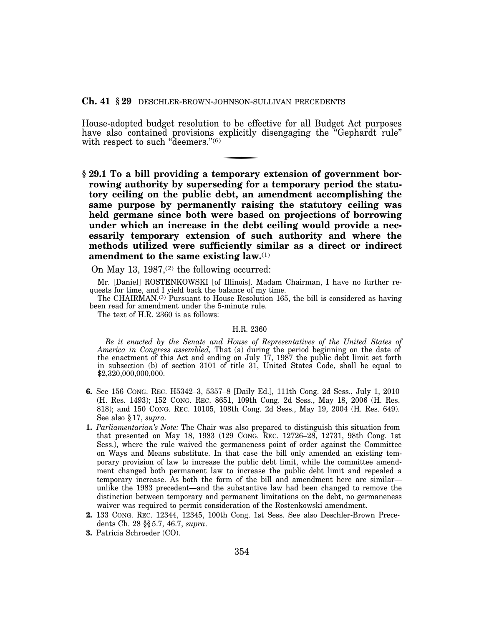House-adopted budget resolution to be effective for all Budget Act purposes have also contained provisions explicitly disengaging the "Gephardt rule" with respect to such "deemers."<sup>(6)</sup>

 $f(x) = \frac{1}{2} \int_{0}^{1} f(x) \, dx$ 

**§ 29.1 To a bill providing a temporary extension of government borrowing authority by superseding for a temporary period the statutory ceiling on the public debt, an amendment accomplishing the same purpose by permanently raising the statutory ceiling was held germane since both were based on projections of borrowing under which an increase in the debt ceiling would provide a necessarily temporary extension of such authority and where the methods utilized were sufficiently similar as a direct or indirect amendment to the same existing law.**(1)

On May 13,  $1987<sup>(2)</sup>$  the following occurred:

Mr. [Daniel] ROSTENKOWSKI [of Illinois]. Madam Chairman, I have no further requests for time, and I yield back the balance of my time.

The CHAIRMAN.(3) Pursuant to House Resolution 165, the bill is considered as having been read for amendment under the 5-minute rule.

The text of H.R. 2360 is as follows:

#### H.R. 2360

*Be it enacted by the Senate and House of Representatives of the United States of America in Congress assembled,* That (a) during the period beginning on the date of the enactment of this Act and ending on July 17, 1987 the public debt limit set forth in subsection (b) of section 3101 of title 31, United States Code, shall be equal to \$2,320,000,000,000.

- **6.** See 156 CONG. REC. H5342–3, 5357–8 [Daily Ed.], 111th Cong. 2d Sess., July 1, 2010 (H. Res. 1493); 152 CONG. REC. 8651, 109th Cong. 2d Sess., May 18, 2006 (H. Res. 818); and 150 CONG. REC. 10105, 108th Cong. 2d Sess., May 19, 2004 (H. Res. 649). See also § 17, *supra*.
- **1.** *Parliamentarian's Note:* The Chair was also prepared to distinguish this situation from that presented on May 18, 1983 (129 CONG. REC. 12726–28, 12731, 98th Cong. 1st Sess.), where the rule waived the germaneness point of order against the Committee on Ways and Means substitute. In that case the bill only amended an existing temporary provision of law to increase the public debt limit, while the committee amendment changed both permanent law to increase the public debt limit and repealed a temporary increase. As both the form of the bill and amendment here are similar unlike the 1983 precedent—and the substantive law had been changed to remove the distinction between temporary and permanent limitations on the debt, no germaneness waiver was required to permit consideration of the Rostenkowski amendment.
- **2.** 133 CONG. REC. 12344, 12345, 100th Cong. 1st Sess. See also Deschler-Brown Precedents Ch. 28 §§ 5.7, 46.7, *supra*.
- **3.** Patricia Schroeder (CO).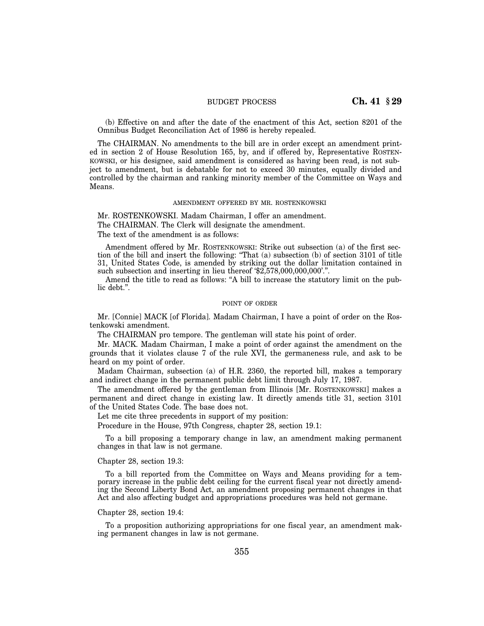(b) Effective on and after the date of the enactment of this Act, section 8201 of the Omnibus Budget Reconciliation Act of 1986 is hereby repealed.

The CHAIRMAN. No amendments to the bill are in order except an amendment printed in section 2 of House Resolution 165, by, and if offered by, Representative ROSTEN-KOWSKI, or his designee, said amendment is considered as having been read, is not subject to amendment, but is debatable for not to exceed 30 minutes, equally divided and controlled by the chairman and ranking minority member of the Committee on Ways and Means.

#### AMENDMENT OFFERED BY MR. ROSTENKOWSKI

Mr. ROSTENKOWSKI. Madam Chairman, I offer an amendment. The CHAIRMAN. The Clerk will designate the amendment. The text of the amendment is as follows:

Amendment offered by Mr. ROSTENKOWSKI: Strike out subsection (a) of the first section of the bill and insert the following: ''That (a) subsection (b) of section 3101 of title 31, United States Code, is amended by striking out the dollar limitation contained in such subsection and inserting in lieu thereof  $$2,578,000,000,000$ .".

Amend the title to read as follows: ''A bill to increase the statutory limit on the public debt.''.

#### POINT OF ORDER

Mr. [Connie] MACK [of Florida]. Madam Chairman, I have a point of order on the Rostenkowski amendment.

The CHAIRMAN pro tempore. The gentleman will state his point of order.

Mr. MACK. Madam Chairman, I make a point of order against the amendment on the grounds that it violates clause 7 of the rule XVI, the germaneness rule, and ask to be heard on my point of order.

Madam Chairman, subsection (a) of H.R. 2360, the reported bill, makes a temporary and indirect change in the permanent public debt limit through July 17, 1987.

The amendment offered by the gentleman from Illinois [Mr. ROSTENKOWSKI] makes a permanent and direct change in existing law. It directly amends title 31, section 3101 of the United States Code. The base does not.

Let me cite three precedents in support of my position:

Procedure in the House, 97th Congress, chapter 28, section 19.1:

To a bill proposing a temporary change in law, an amendment making permanent changes in that law is not germane.

Chapter 28, section 19.3:

To a bill reported from the Committee on Ways and Means providing for a temporary increase in the public debt ceiling for the current fiscal year not directly amending the Second Liberty Bond Act, an amendment proposing permanent changes in that Act and also affecting budget and appropriations procedures was held not germane.

Chapter 28, section 19.4:

To a proposition authorizing appropriations for one fiscal year, an amendment making permanent changes in law is not germane.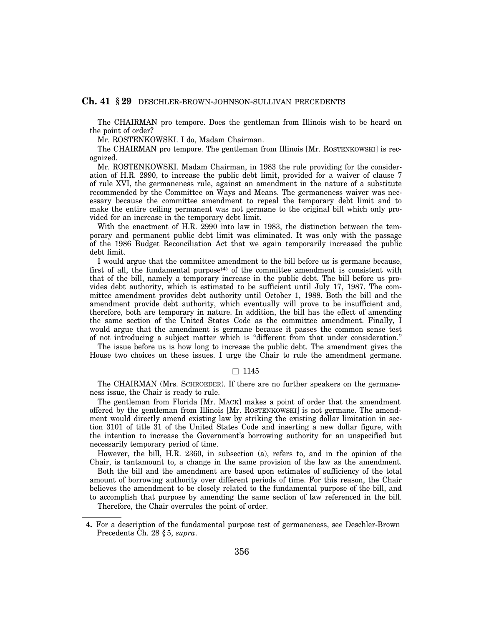The CHAIRMAN pro tempore. Does the gentleman from Illinois wish to be heard on the point of order?

Mr. ROSTENKOWSKI. I do, Madam Chairman.

The CHAIRMAN pro tempore. The gentleman from Illinois [Mr. ROSTENKOWSKI] is recognized.

Mr. ROSTENKOWSKI. Madam Chairman, in 1983 the rule providing for the consideration of H.R. 2990, to increase the public debt limit, provided for a waiver of clause 7 of rule XVI, the germaneness rule, against an amendment in the nature of a substitute recommended by the Committee on Ways and Means. The germaneness waiver was necessary because the committee amendment to repeal the temporary debt limit and to make the entire ceiling permanent was not germane to the original bill which only provided for an increase in the temporary debt limit.

With the enactment of H.R. 2990 into law in 1983, the distinction between the temporary and permanent public debt limit was eliminated. It was only with the passage of the 1986 Budget Reconciliation Act that we again temporarily increased the public debt limit.

I would argue that the committee amendment to the bill before us is germane because, first of all, the fundamental purpose<sup> $(4)$ </sup> of the committee amendment is consistent with that of the bill, namely a temporary increase in the public debt. The bill before us provides debt authority, which is estimated to be sufficient until July 17, 1987. The committee amendment provides debt authority until October 1, 1988. Both the bill and the amendment provide debt authority, which eventually will prove to be insufficient and, therefore, both are temporary in nature. In addition, the bill has the effect of amending the same section of the United States Code as the committee amendment. Finally, I would argue that the amendment is germane because it passes the common sense test of not introducing a subject matter which is ''different from that under consideration.''

The issue before us is how long to increase the public debt. The amendment gives the House two choices on these issues. I urge the Chair to rule the amendment germane.

#### $\Box$  1145

The CHAIRMAN (Mrs. SCHROEDER). If there are no further speakers on the germaneness issue, the Chair is ready to rule.

The gentleman from Florida [Mr. MACK] makes a point of order that the amendment offered by the gentleman from Illinois [Mr. ROSTENKOWSKI] is not germane. The amendment would directly amend existing law by striking the existing dollar limitation in section 3101 of title 31 of the United States Code and inserting a new dollar figure, with the intention to increase the Government's borrowing authority for an unspecified but necessarily temporary period of time.

However, the bill, H.R. 2360, in subsection (a), refers to, and in the opinion of the Chair, is tantamount to, a change in the same provision of the law as the amendment.

Both the bill and the amendment are based upon estimates of sufficiency of the total amount of borrowing authority over different periods of time. For this reason, the Chair believes the amendment to be closely related to the fundamental purpose of the bill, and to accomplish that purpose by amending the same section of law referenced in the bill.

Therefore, the Chair overrules the point of order.

**<sup>4.</sup>** For a description of the fundamental purpose test of germaneness, see Deschler-Brown Precedents Ch. 28 § 5, *supra*.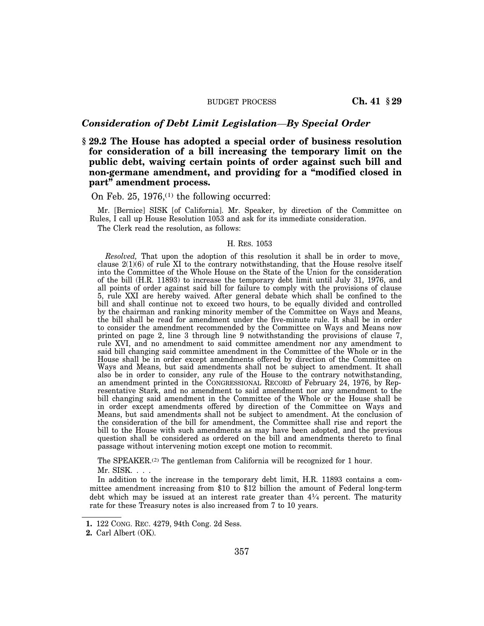## *Consideration of Debt Limit Legislation*—*By Special Order*

# **§ 29.2 The House has adopted a special order of business resolution for consideration of a bill increasing the temporary limit on the public debt, waiving certain points of order against such bill and non-germane amendment, and providing for a ''modified closed in part'' amendment process.**

## On Feb. 25,  $1976$ <sup>(1)</sup> the following occurred:

Mr. [Bernice] SISK [of California]. Mr. Speaker, by direction of the Committee on Rules, I call up House Resolution 1053 and ask for its immediate consideration.

The Clerk read the resolution, as follows:

#### H. RES. 1053

*Resolved,* That upon the adoption of this resolution it shall be in order to move, clause  $2(1)(6)$  of rule XI to the contrary notwithstanding, that the House resolve itself into the Committee of the Whole House on the State of the Union for the consideration of the bill (H.R. 11893) to increase the temporary debt limit until July 31, 1976, and all points of order against said bill for failure to comply with the provisions of clause 5, rule XXI are hereby waived. After general debate which shall be confined to the bill and shall continue not to exceed two hours, to be equally divided and controlled by the chairman and ranking minority member of the Committee on Ways and Means, the bill shall be read for amendment under the five-minute rule. It shall be in order to consider the amendment recommended by the Committee on Ways and Means now printed on page 2, line 3 through line 9 notwithstanding the provisions of clause 7, rule XVI, and no amendment to said committee amendment nor any amendment to said bill changing said committee amendment in the Committee of the Whole or in the House shall be in order except amendments offered by direction of the Committee on Ways and Means, but said amendments shall not be subject to amendment. It shall also be in order to consider, any rule of the House to the contrary notwithstanding, an amendment printed in the CONGRESSIONAL RECORD of February 24, 1976, by Representative Stark, and no amendment to said amendment nor any amendment to the bill changing said amendment in the Committee of the Whole or the House shall be in order except amendments offered by direction of the Committee on Ways and Means, but said amendments shall not be subject to amendment. At the conclusion of the consideration of the bill for amendment, the Committee shall rise and report the bill to the House with such amendments as may have been adopted, and the previous question shall be considered as ordered on the bill and amendments thereto to final passage without intervening motion except one motion to recommit.

The SPEAKER.(2) The gentleman from California will be recognized for 1 hour. Mr. SISK. . . .

In addition to the increase in the temporary debt limit, H.R. 11893 contains a committee amendment increasing from \$10 to \$12 billion the amount of Federal long-term debt which may be issued at an interest rate greater than  $4\frac{1}{4}$  percent. The maturity rate for these Treasury notes is also increased from 7 to 10 years.

**<sup>1.</sup>** 122 CONG. REC. 4279, 94th Cong. 2d Sess.

**<sup>2.</sup>** Carl Albert (OK).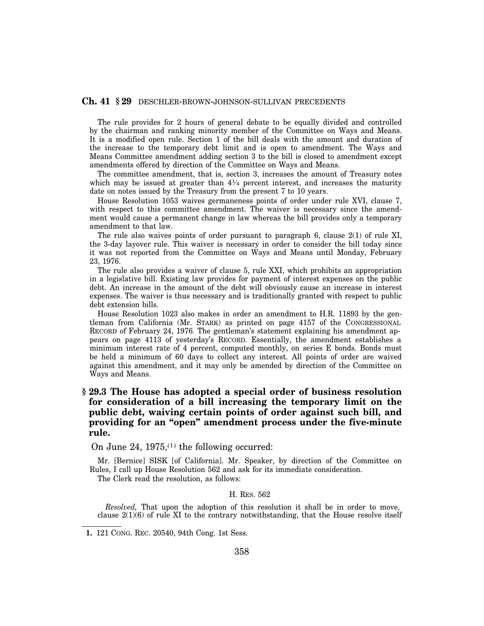The rule provides for 2 hours of general debate to be equally divided and controlled by the chairman and ranking minority member of the Committee on Ways and Means. It is a modified open rule. Section 1 of the bill deals with the amount and duration of the increase to the temporary debt limit and is open to amendment. The Ways and Means Committee amendment adding section 3 to the bill is closed to amendment except amendments offered by direction of the Committee on Ways and Means.

The committee amendment, that is, section 3, increases the amount of Treasury notes which may be issued at greater than  $4\frac{1}{4}$  percent interest, and increases the maturity date on notes issued by the Treasury from the present 7 to 10 years.

House Resolution 1053 waives germaneness points of order under rule XVI, clause 7, with respect to this committee amendment. The waiver is necessary since the amendment would cause a permanent change in law whereas the bill provides only a temporary amendment to that law.

The rule also waives points of order pursuant to paragraph 6, clause 2(1) of rule XI, the 3-day layover rule. This waiver is necessary in order to consider the bill today since it was not reported from the Committee on Ways and Means until Monday, February 23, 1976.

The rule also provides a waiver of clause 5, rule XXI, which prohibits an appropriation in a legislative bill. Existing law provides for payment of interest expenses on the public debt. An increase in the amount of the debt will obviously cause an increase in interest expenses. The waiver is thus necessary and is traditionally granted with respect to public debt extension bills.

House Resolution 1023 also makes in order an amendment to H.R. 11893 by the gentleman from California (Mr. STARK) as printed on page 4157 of the CONGRESSIONAL RECORD of February 24, 1976. The gentleman's statement explaining his amendment appears on page 4113 of yesterday's RECORD. Essentially, the amendment establishes a minimum interest rate of 4 percent, computed monthly, on series E bonds. Bonds must be held a minimum of 60 days to collect any interest. All points of order are waived against this amendment, and it may only be amended by direction of the Committee on Ways and Means.

## **§ 29.3 The House has adopted a special order of business resolution for consideration of a bill increasing the temporary limit on the public debt, waiving certain points of order against such bill, and providing for an ''open'' amendment process under the five-minute rule.**

On June 24,  $1975^{(1)}$  the following occurred:

Mr. [Bernice] SISK [of California]. Mr. Speaker, by direction of the Committee on Rules, I call up House Resolution 562 and ask for its immediate consideration.

The Clerk read the resolution, as follows:

#### H. RES. 562

*Resolved,* That upon the adoption of this resolution it shall be in order to move, clause  $2(1)(6)$  of rule XI to the contrary notwithstanding, that the House resolve itself

**<sup>1.</sup>** 121 CONG. REC. 20540, 94th Cong. 1st Sess.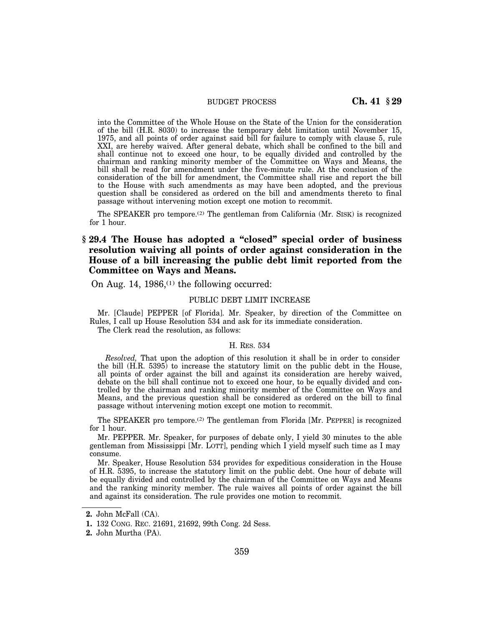into the Committee of the Whole House on the State of the Union for the consideration of the bill (H.R. 8030) to increase the temporary debt limitation until November 15, 1975, and all points of order against said bill for failure to comply with clause 5, rule XXI, are hereby waived. After general debate, which shall be confined to the bill and shall continue not to exceed one hour, to be equally divided and controlled by the chairman and ranking minority member of the Committee on Ways and Means, the bill shall be read for amendment under the five-minute rule. At the conclusion of the consideration of the bill for amendment, the Committee shall rise and report the bill to the House with such amendments as may have been adopted, and the previous question shall be considered as ordered on the bill and amendments thereto to final passage without intervening motion except one motion to recommit.

The SPEAKER pro tempore.<sup>(2)</sup> The gentleman from California (Mr. SISK) is recognized for 1 hour.

# **§ 29.4 The House has adopted a ''closed'' special order of business resolution waiving all points of order against consideration in the House of a bill increasing the public debt limit reported from the Committee on Ways and Means.**

On Aug. 14,  $1986^{(1)}$  the following occurred:

### PUBLIC DEBT LIMIT INCREASE

Mr. [Claude] PEPPER [of Florida]. Mr. Speaker, by direction of the Committee on Rules, I call up House Resolution 534 and ask for its immediate consideration.

The Clerk read the resolution, as follows:

#### H. RES. 534

*Resolved,* That upon the adoption of this resolution it shall be in order to consider the bill (H.R. 5395) to increase the statutory limit on the public debt in the House, all points of order against the bill and against its consideration are hereby waived, debate on the bill shall continue not to exceed one hour, to be equally divided and controlled by the chairman and ranking minority member of the Committee on Ways and Means, and the previous question shall be considered as ordered on the bill to final passage without intervening motion except one motion to recommit.

The SPEAKER pro tempore.(2) The gentleman from Florida [Mr. PEPPER] is recognized for 1 hour.

Mr. PEPPER. Mr. Speaker, for purposes of debate only, I yield 30 minutes to the able gentleman from Mississippi  $[Mr, L^{\text{OPT}}]$ , pending which I yield myself such time as I may consume.

Mr. Speaker, House Resolution 534 provides for expeditious consideration in the House of H.R. 5395, to increase the statutory limit on the public debt. One hour of debate will be equally divided and controlled by the chairman of the Committee on Ways and Means and the ranking minority member. The rule waives all points of order against the bill and against its consideration. The rule provides one motion to recommit.

**<sup>2.</sup>** John McFall (CA).

**<sup>1.</sup>** 132 CONG. REC. 21691, 21692, 99th Cong. 2d Sess.

**<sup>2.</sup>** John Murtha (PA).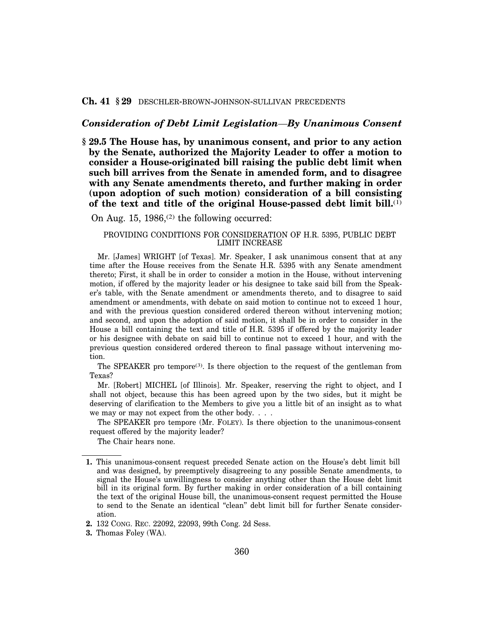## *Consideration of Debt Limit Legislation*—*By Unanimous Consent*

**§ 29.5 The House has, by unanimous consent, and prior to any action by the Senate, authorized the Majority Leader to offer a motion to consider a House-originated bill raising the public debt limit when such bill arrives from the Senate in amended form, and to disagree with any Senate amendments thereto, and further making in order (upon adoption of such motion) consideration of a bill consisting of the text and title of the original House-passed debt limit bill.**(1)

On Aug. 15, 1986,(2) the following occurred:

### PROVIDING CONDITIONS FOR CONSIDERATION OF H.R. 5395, PUBLIC DEBT LIMIT INCREASE

Mr. [James] WRIGHT [of Texas]. Mr. Speaker, I ask unanimous consent that at any time after the House receives from the Senate H.R. 5395 with any Senate amendment thereto; First, it shall be in order to consider a motion in the House, without intervening motion, if offered by the majority leader or his designee to take said bill from the Speaker's table, with the Senate amendment or amendments thereto, and to disagree to said amendment or amendments, with debate on said motion to continue not to exceed 1 hour, and with the previous question considered ordered thereon without intervening motion; and second, and upon the adoption of said motion, it shall be in order to consider in the House a bill containing the text and title of H.R. 5395 if offered by the majority leader or his designee with debate on said bill to continue not to exceed 1 hour, and with the previous question considered ordered thereon to final passage without intervening motion.

The SPEAKER pro tempore<sup>(3)</sup>. Is there objection to the request of the gentleman from Texas?

Mr. [Robert] MICHEL [of Illinois]. Mr. Speaker, reserving the right to object, and I shall not object, because this has been agreed upon by the two sides, but it might be deserving of clarification to the Members to give you a little bit of an insight as to what we may or may not expect from the other body. . . .

The SPEAKER pro tempore (Mr. FOLEY). Is there objection to the unanimous-consent request offered by the majority leader?

The Chair hears none.

**<sup>1.</sup>** This unanimous-consent request preceded Senate action on the House's debt limit bill and was designed, by preemptively disagreeing to any possible Senate amendments, to signal the House's unwillingness to consider anything other than the House debt limit bill in its original form. By further making in order consideration of a bill containing the text of the original House bill, the unanimous-consent request permitted the House to send to the Senate an identical "clean" debt limit bill for further Senate consideration.

**<sup>2.</sup>** 132 CONG. REC. 22092, 22093, 99th Cong. 2d Sess.

**<sup>3.</sup>** Thomas Foley (WA).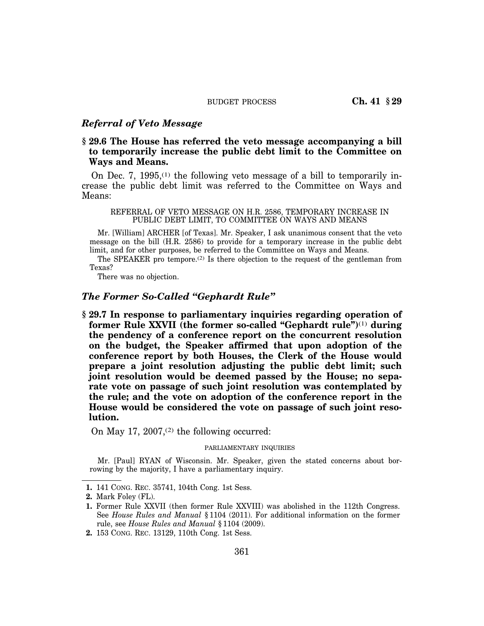## *Referral of Veto Message*

## **§ 29.6 The House has referred the veto message accompanying a bill to temporarily increase the public debt limit to the Committee on Ways and Means.**

On Dec. 7, 1995,<sup>(1)</sup> the following veto message of a bill to temporarily increase the public debt limit was referred to the Committee on Ways and Means:

REFERRAL OF VETO MESSAGE ON H.R. 2586, TEMPORARY INCREASE IN PUBLIC DEBT LIMIT, TO COMMITTEE ON WAYS AND MEANS

Mr. [William] ARCHER [of Texas]. Mr. Speaker, I ask unanimous consent that the veto message on the bill (H.R. 2586) to provide for a temporary increase in the public debt limit, and for other purposes, be referred to the Committee on Ways and Means.

The SPEAKER pro tempore.<sup>(2)</sup> Is there objection to the request of the gentleman from Texas?

There was no objection.

## *The Former So-Called ''Gephardt Rule''*

**§ 29.7 In response to parliamentary inquiries regarding operation of former Rule XXVII (the former so-called ''Gephardt rule'')**(1) **during the pendency of a conference report on the concurrent resolution on the budget, the Speaker affirmed that upon adoption of the conference report by both Houses, the Clerk of the House would prepare a joint resolution adjusting the public debt limit; such joint resolution would be deemed passed by the House; no separate vote on passage of such joint resolution was contemplated by the rule; and the vote on adoption of the conference report in the House would be considered the vote on passage of such joint resolution.** 

On May 17, 2007,<sup>(2)</sup> the following occurred:

### PARLIAMENTARY INQUIRIES

Mr. [Paul] RYAN of Wisconsin. Mr. Speaker, given the stated concerns about borrowing by the majority, I have a parliamentary inquiry.

**<sup>1.</sup>** 141 CONG. REC. 35741, 104th Cong. 1st Sess.

**<sup>2.</sup>** Mark Foley (FL).

**<sup>1.</sup>** Former Rule XXVII (then former Rule XXVIII) was abolished in the 112th Congress. See *House Rules and Manual* § 1104 (2011). For additional information on the former rule, see *House Rules and Manual* § 1104 (2009).

**<sup>2.</sup>** 153 CONG. REC. 13129, 110th Cong. 1st Sess.